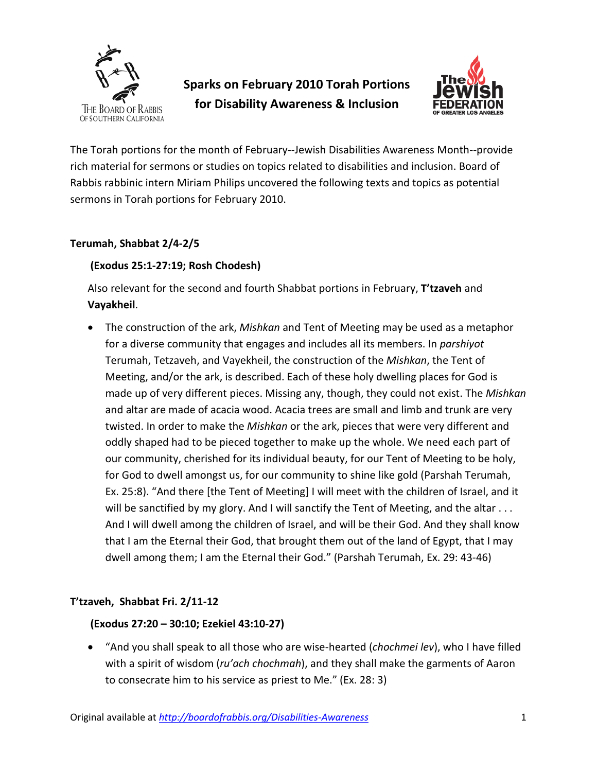

# **Sparks on February 2010 Torah Portions for Disability Awareness & Inclusion**



The Torah portions for the month of February--Jewish Disabilities Awareness Month--provide rich material for sermons or studies on topics related to disabilities and inclusion. Board of Rabbis rabbinic intern Miriam Philips uncovered the following texts and topics as potential sermons in Torah portions for February 2010.

### **Terumah, Shabbat 2/4-2/5**

### **(Exodus 25:1-27:19; Rosh Chodesh)**

Also relevant for the second and fourth Shabbat portions in February, **T'tzaveh** and **Vayakheil**.

• The construction of the ark, *Mishkan* and Tent of Meeting may be used as a metaphor for a diverse community that engages and includes all its members. In *parshiyot* Terumah, Tetzaveh, and Vayekheil, the construction of the *Mishkan*, the Tent of Meeting, and/or the ark, is described. Each of these holy dwelling places for God is made up of very different pieces. Missing any, though, they could not exist. The *Mishkan*  and altar are made of acacia wood. Acacia trees are small and limb and trunk are very twisted. In order to make the *Mishkan* or the ark, pieces that were very different and oddly shaped had to be pieced together to make up the whole. We need each part of our community, cherished for its individual beauty, for our Tent of Meeting to be holy, for God to dwell amongst us, for our community to shine like gold (Parshah Terumah, Ex. 25:8). "And there [the Tent of Meeting] I will meet with the children of Israel, and it will be sanctified by my glory. And I will sanctify the Tent of Meeting, and the altar . . . And I will dwell among the children of Israel, and will be their God. And they shall know that I am the Eternal their God, that brought them out of the land of Egypt, that I may dwell among them; I am the Eternal their God." (Parshah Terumah, Ex. 29: 43-46)

## **T'tzaveh, Shabbat Fri. 2/11-12**

#### **(Exodus 27:20 – 30:10; Ezekiel 43:10-27)**

• "And you shall speak to all those who are wise-hearted (*chochmei lev*), who I have filled with a spirit of wisdom (*ru'ach chochmah*), and they shall make the garments of Aaron to consecrate him to his service as priest to Me." (Ex. 28: 3)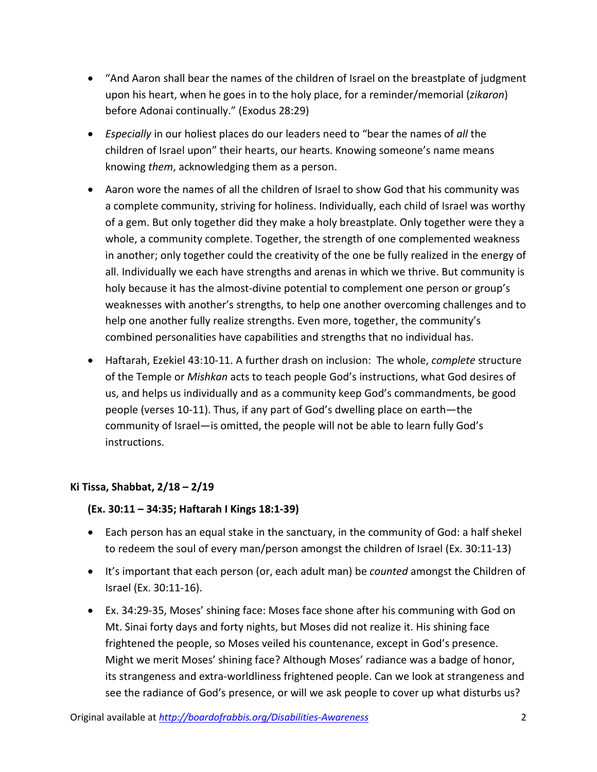- "And Aaron shall bear the names of the children of Israel on the breastplate of judgment upon his heart, when he goes in to the holy place, for a reminder/memorial (*zikaron*) before Adonai continually." (Exodus 28:29)
- *Especially* in our holiest places do our leaders need to "bear the names of *all* the children of Israel upon" their hearts, our hearts. Knowing someone's name means knowing *them*, acknowledging them as a person.
- Aaron wore the names of all the children of Israel to show God that his community was a complete community, striving for holiness. Individually, each child of Israel was worthy of a gem. But only together did they make a holy breastplate. Only together were they a whole, a community complete. Together, the strength of one complemented weakness in another; only together could the creativity of the one be fully realized in the energy of all. Individually we each have strengths and arenas in which we thrive. But community is holy because it has the almost-divine potential to complement one person or group's weaknesses with another's strengths, to help one another overcoming challenges and to help one another fully realize strengths. Even more, together, the community's combined personalities have capabilities and strengths that no individual has.
- Haftarah, Ezekiel 43:10-11. A further drash on inclusion: The whole, *complete* structure of the Temple or *Mishkan* acts to teach people God's instructions, what God desires of us, and helps us individually and as a community keep God's commandments, be good people (verses 10-11). Thus, if any part of God's dwelling place on earth—the community of Israel—is omitted, the people will not be able to learn fully God's instructions.

## **Ki Tissa, Shabbat, 2/18 – 2/19**

#### **(Ex. 30:11 – 34:35; Haftarah I Kings 18:1-39)**

- Each person has an equal stake in the sanctuary, in the community of God: a half shekel to redeem the soul of every man/person amongst the children of Israel (Ex. 30:11-13)
- It's important that each person (or, each adult man) be *counted* amongst the Children of Israel (Ex. 30:11-16).
- Ex. 34:29-35, Moses' shining face: Moses face shone after his communing with God on Mt. Sinai forty days and forty nights, but Moses did not realize it. His shining face frightened the people, so Moses veiled his countenance, except in God's presence. Might we merit Moses' shining face? Although Moses' radiance was a badge of honor, its strangeness and extra-worldliness frightened people. Can we look at strangeness and see the radiance of God's presence, or will we ask people to cover up what disturbs us?